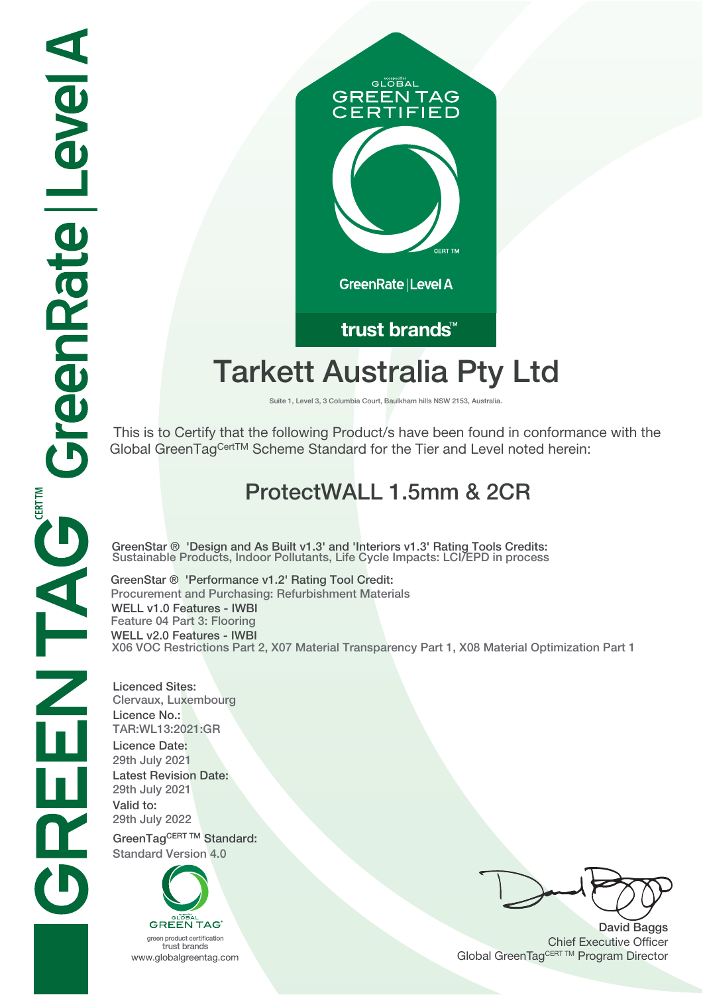

## trust brands<sup>™</sup>

# **Tarkett Australia Pty Ltd**

**Suite 1, Level 3, 3 Columbia Court, Baulkham hills NSW 2153, Australia.**

 This is to Certify that the following Product/s have been found in conformance with the Global GreenTagCertTM Scheme Standard for the Tier and Level noted herein:

# **ProtectWALL 1.5mm & 2CR**

**GreenStar ® 'Design and As Built v1.3' and 'Interiors v1.3' Rating Tools Credits: Sustainable Products, Indoor Pollutants, Life Cycle Impacts: LCI/EPD in process**

**GreenStar ® 'Performance v1.2' Rating Tool Credit: Procurement and Purchasing: Refurbishment Materials WELL v1.0 Features - IWBI Feature 04 Part 3: Flooring WELL v2.0 Features - IWBI X06 VOC Restrictions Part 2, X07 Material Transparency Part 1, X08 Material Optimization Part 1**

**Licenced Sites: Clervaux, Luxembourg Licence No.: TAR:WL13:2021:GR Licence Date: 29th July 2021 Latest Revision Date: 29th July 2021 Valid to: 29th July 2022**

GreenTagCERT TM Standard: **Standard Version 4.0**



**David Baggs** Chief Executive Officer WWW.globalgreentag.com **Program Director** Channel Global GreenTagCERT TM Program Director